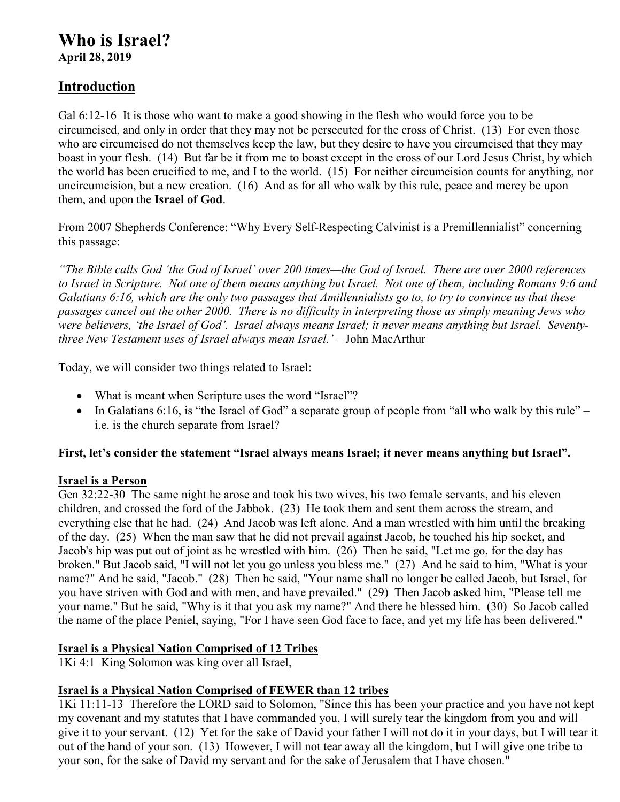# **Who is Israel?**

**April 28, 2019** 

### **Introduction**

Gal 6:12-16 It is those who want to make a good showing in the flesh who would force you to be circumcised, and only in order that they may not be persecuted for the cross of Christ. (13) For even those who are circumcised do not themselves keep the law, but they desire to have you circumcised that they may boast in your flesh. (14) But far be it from me to boast except in the cross of our Lord Jesus Christ, by which the world has been crucified to me, and I to the world. (15) For neither circumcision counts for anything, nor uncircumcision, but a new creation. (16) And as for all who walk by this rule, peace and mercy be upon them, and upon the **Israel of God**.

From 2007 Shepherds Conference: "Why Every Self-Respecting Calvinist is a Premillennialist" concerning this passage:

*"The Bible calls God 'the God of Israel' over 200 times—the God of Israel. There are over 2000 references to Israel in Scripture. Not one of them means anything but Israel. Not one of them, including Romans 9:6 and Galatians 6:16, which are the only two passages that Amillennialists go to, to try to convince us that these passages cancel out the other 2000. There is no difficulty in interpreting those as simply meaning Jews who were believers, 'the Israel of God'. Israel always means Israel; it never means anything but Israel. Seventythree New Testament uses of Israel always mean Israel.' –* John MacArthur

Today, we will consider two things related to Israel:

- What is meant when Scripture uses the word "Israel"?
- $\bullet$  In Galatians 6:16, is "the Israel of God" a separate group of people from "all who walk by this rule" i.e. is the church separate from Israel?

#### **First, let's consider the statement "Israel always means Israel; it never means anything but Israel".**

#### **Israel is a Person**

Gen 32:22-30 The same night he arose and took his two wives, his two female servants, and his eleven children, and crossed the ford of the Jabbok. (23) He took them and sent them across the stream, and everything else that he had. (24) And Jacob was left alone. And a man wrestled with him until the breaking of the day. (25) When the man saw that he did not prevail against Jacob, he touched his hip socket, and Jacob's hip was put out of joint as he wrestled with him. (26) Then he said, "Let me go, for the day has broken." But Jacob said, "I will not let you go unless you bless me." (27) And he said to him, "What is your name?" And he said, "Jacob." (28) Then he said, "Your name shall no longer be called Jacob, but Israel, for you have striven with God and with men, and have prevailed." (29) Then Jacob asked him, "Please tell me your name." But he said, "Why is it that you ask my name?" And there he blessed him. (30) So Jacob called the name of the place Peniel, saying, "For I have seen God face to face, and yet my life has been delivered."

### **Israel is a Physical Nation Comprised of 12 Tribes**

1Ki 4:1 King Solomon was king over all Israel,

### **Israel is a Physical Nation Comprised of FEWER than 12 tribes**

1Ki 11:11-13 Therefore the LORD said to Solomon, "Since this has been your practice and you have not kept my covenant and my statutes that I have commanded you, I will surely tear the kingdom from you and will give it to your servant. (12) Yet for the sake of David your father I will not do it in your days, but I will tear it out of the hand of your son. (13) However, I will not tear away all the kingdom, but I will give one tribe to your son, for the sake of David my servant and for the sake of Jerusalem that I have chosen."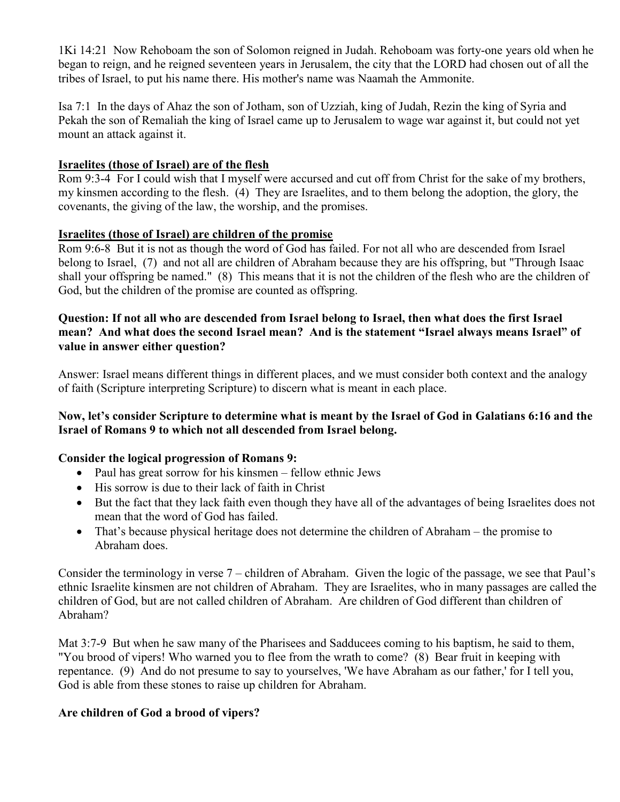1Ki 14:21 Now Rehoboam the son of Solomon reigned in Judah. Rehoboam was forty-one years old when he began to reign, and he reigned seventeen years in Jerusalem, the city that the LORD had chosen out of all the tribes of Israel, to put his name there. His mother's name was Naamah the Ammonite.

Isa 7:1 In the days of Ahaz the son of Jotham, son of Uzziah, king of Judah, Rezin the king of Syria and Pekah the son of Remaliah the king of Israel came up to Jerusalem to wage war against it, but could not yet mount an attack against it.

#### **Israelites (those of Israel) are of the flesh**

Rom 9:3-4 For I could wish that I myself were accursed and cut off from Christ for the sake of my brothers, my kinsmen according to the flesh. (4) They are Israelites, and to them belong the adoption, the glory, the covenants, the giving of the law, the worship, and the promises.

#### **Israelites (those of Israel) are children of the promise**

Rom 9:6-8 But it is not as though the word of God has failed. For not all who are descended from Israel belong to Israel, (7) and not all are children of Abraham because they are his offspring, but "Through Isaac shall your offspring be named." (8) This means that it is not the children of the flesh who are the children of God, but the children of the promise are counted as offspring.

#### **Question: If not all who are descended from Israel belong to Israel, then what does the first Israel mean? And what does the second Israel mean? And is the statement "Israel always means Israel" of value in answer either question?**

Answer: Israel means different things in different places, and we must consider both context and the analogy of faith (Scripture interpreting Scripture) to discern what is meant in each place.

#### **Now, let's consider Scripture to determine what is meant by the Israel of God in Galatians 6:16 and the Israel of Romans 9 to which not all descended from Israel belong.**

#### **Consider the logical progression of Romans 9:**

- Paul has great sorrow for his kinsmen fellow ethnic Jews
- His sorrow is due to their lack of faith in Christ
- But the fact that they lack faith even though they have all of the advantages of being Israelites does not mean that the word of God has failed.
- That's because physical heritage does not determine the children of Abraham the promise to Abraham does.

Consider the terminology in verse 7 – children of Abraham. Given the logic of the passage, we see that Paul's ethnic Israelite kinsmen are not children of Abraham. They are Israelites, who in many passages are called the children of God, but are not called children of Abraham. Are children of God different than children of Abraham?

Mat 3:7-9 But when he saw many of the Pharisees and Sadducees coming to his baptism, he said to them, "You brood of vipers! Who warned you to flee from the wrath to come? (8) Bear fruit in keeping with repentance. (9) And do not presume to say to yourselves, 'We have Abraham as our father,' for I tell you, God is able from these stones to raise up children for Abraham.

#### **Are children of God a brood of vipers?**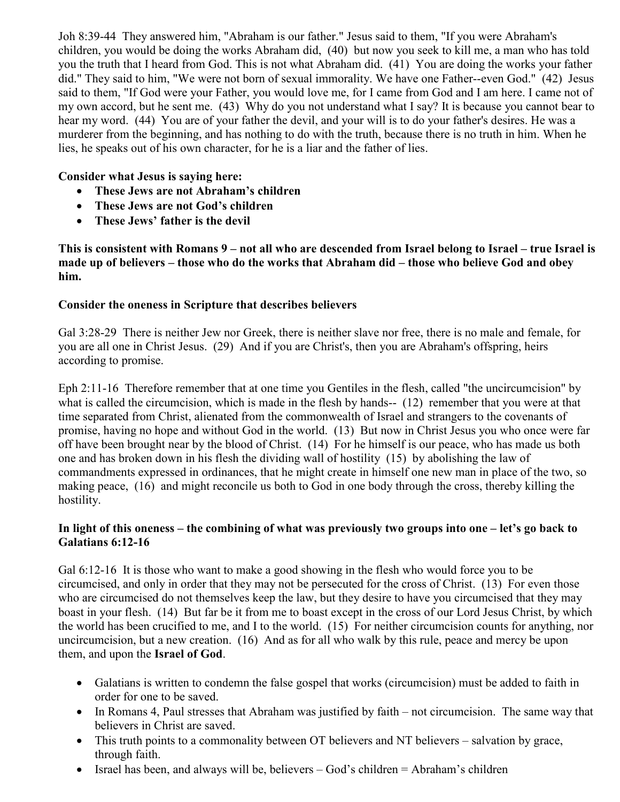Joh 8:39-44 They answered him, "Abraham is our father." Jesus said to them, "If you were Abraham's children, you would be doing the works Abraham did, (40) but now you seek to kill me, a man who has told you the truth that I heard from God. This is not what Abraham did. (41) You are doing the works your father did." They said to him, "We were not born of sexual immorality. We have one Father--even God." (42) Jesus said to them, "If God were your Father, you would love me, for I came from God and I am here. I came not of my own accord, but he sent me. (43) Why do you not understand what I say? It is because you cannot bear to hear my word. (44) You are of your father the devil, and your will is to do your father's desires. He was a murderer from the beginning, and has nothing to do with the truth, because there is no truth in him. When he lies, he speaks out of his own character, for he is a liar and the father of lies.

#### **Consider what Jesus is saying here:**

- **These Jews are not Abraham's children**
- **These Jews are not God's children**
- **These Jews' father is the devil**

**This is consistent with Romans 9 – not all who are descended from Israel belong to Israel – true Israel is made up of believers – those who do the works that Abraham did – those who believe God and obey him.** 

#### **Consider the oneness in Scripture that describes believers**

Gal 3:28-29 There is neither Jew nor Greek, there is neither slave nor free, there is no male and female, for you are all one in Christ Jesus. (29) And if you are Christ's, then you are Abraham's offspring, heirs according to promise.

Eph 2:11-16 Therefore remember that at one time you Gentiles in the flesh, called "the uncircumcision" by what is called the circumcision, which is made in the flesh by hands-- (12) remember that you were at that time separated from Christ, alienated from the commonwealth of Israel and strangers to the covenants of promise, having no hope and without God in the world. (13) But now in Christ Jesus you who once were far off have been brought near by the blood of Christ. (14) For he himself is our peace, who has made us both one and has broken down in his flesh the dividing wall of hostility (15) by abolishing the law of commandments expressed in ordinances, that he might create in himself one new man in place of the two, so making peace, (16) and might reconcile us both to God in one body through the cross, thereby killing the hostility.

#### **In light of this oneness – the combining of what was previously two groups into one – let's go back to Galatians 6:12-16**

Gal 6:12-16 It is those who want to make a good showing in the flesh who would force you to be circumcised, and only in order that they may not be persecuted for the cross of Christ. (13) For even those who are circumcised do not themselves keep the law, but they desire to have you circumcised that they may boast in your flesh. (14) But far be it from me to boast except in the cross of our Lord Jesus Christ, by which the world has been crucified to me, and I to the world. (15) For neither circumcision counts for anything, nor uncircumcision, but a new creation. (16) And as for all who walk by this rule, peace and mercy be upon them, and upon the **Israel of God**.

- Galatians is written to condemn the false gospel that works (circumcision) must be added to faith in order for one to be saved.
- In Romans 4, Paul stresses that Abraham was justified by faith not circumcision. The same way that believers in Christ are saved.
- This truth points to a commonality between OT believers and NT believers salvation by grace, through faith.
- Israel has been, and always will be, believers  $-$  God's children  $=$  Abraham's children